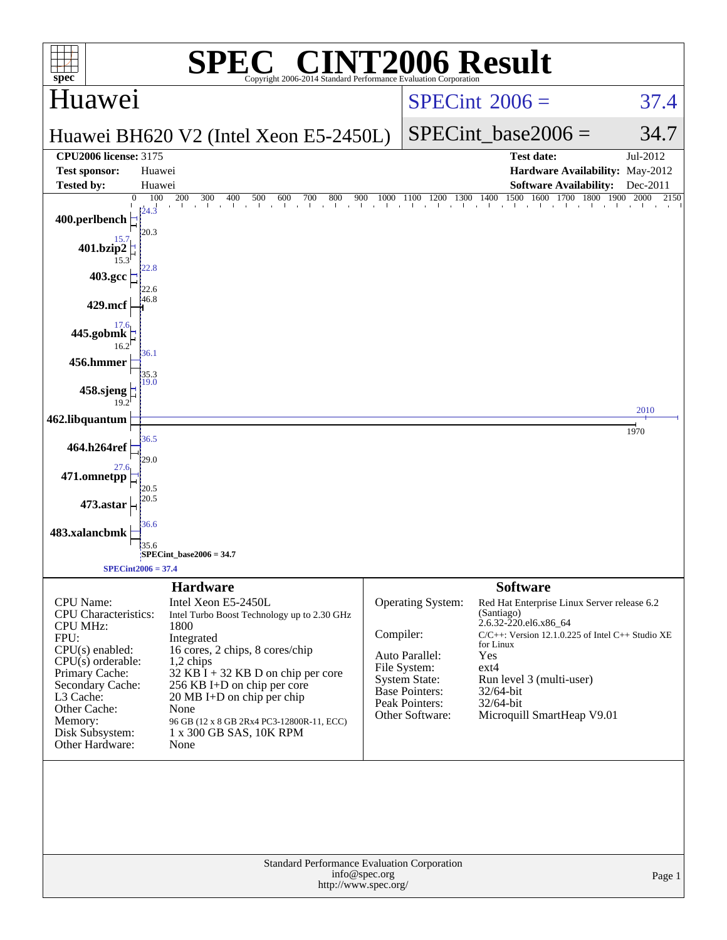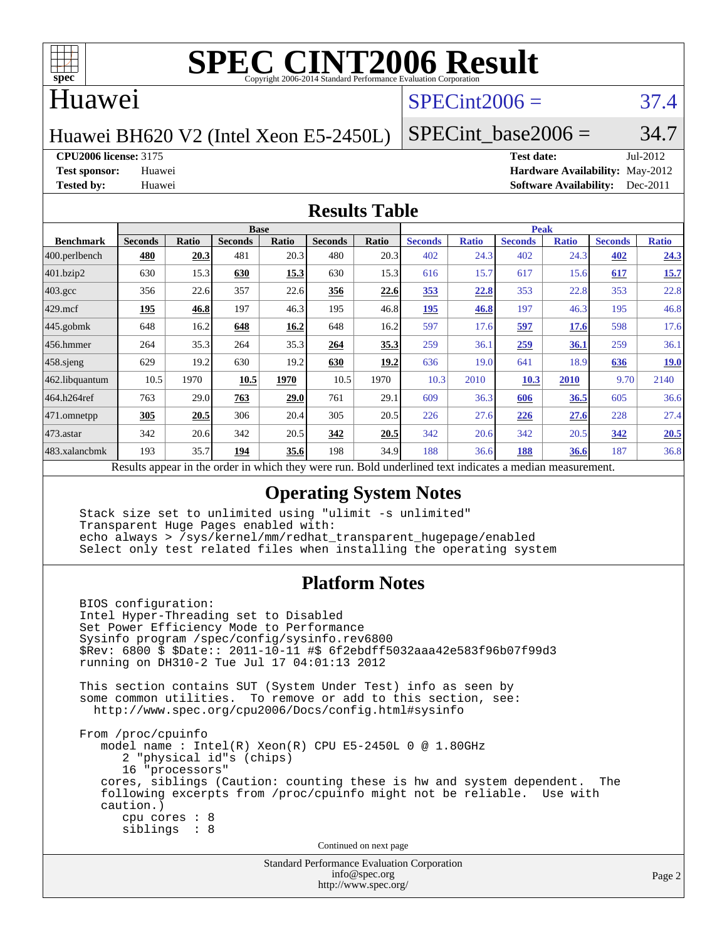

### Huawei

## $SPECint2006 = 37.4$  $SPECint2006 = 37.4$

Huawei BH620 V2 (Intel Xeon E5-2450L)

SPECint base2006 =  $34.7$ 

### **[CPU2006 license:](http://www.spec.org/auto/cpu2006/Docs/result-fields.html#CPU2006license)** 3175 **[Test date:](http://www.spec.org/auto/cpu2006/Docs/result-fields.html#Testdate)** Jul-2012

**[Test sponsor:](http://www.spec.org/auto/cpu2006/Docs/result-fields.html#Testsponsor)** Huawei **[Hardware Availability:](http://www.spec.org/auto/cpu2006/Docs/result-fields.html#HardwareAvailability)** May-2012 **[Tested by:](http://www.spec.org/auto/cpu2006/Docs/result-fields.html#Testedby)** Huawei **[Software Availability:](http://www.spec.org/auto/cpu2006/Docs/result-fields.html#SoftwareAvailability)** Dec-2011

### **[Results Table](http://www.spec.org/auto/cpu2006/Docs/result-fields.html#ResultsTable)**

|                    | <b>Base</b>    |       |                |       |                |              | <b>Peak</b>               |              |                |              |                |              |
|--------------------|----------------|-------|----------------|-------|----------------|--------------|---------------------------|--------------|----------------|--------------|----------------|--------------|
| <b>Benchmark</b>   | <b>Seconds</b> | Ratio | <b>Seconds</b> | Ratio | <b>Seconds</b> | <b>Ratio</b> | <b>Seconds</b>            | <b>Ratio</b> | <b>Seconds</b> | <b>Ratio</b> | <b>Seconds</b> | <b>Ratio</b> |
| 400.perlbench      | 480            | 20.3  | 481            | 20.3  | 480            | 20.3         | 402                       | 24.3         | 402            | 24.3         | <u>402</u>     | 24.3         |
| 401.bzip2          | 630            | 15.3  | 630            | 15.3  | 630            | 15.3         | 616                       | 15.7         | 617            | 15.6         | 617            | 15.7         |
| $403.\mathrm{gcc}$ | 356            | 22.6  | 357            | 22.6  | 356            | 22.6         | 353                       | 22.8         | 353            | 22.8         | 353            | 22.8         |
| $429$ mcf          | 195            | 46.8  | 197            | 46.3  | 195            | 46.8         | <u>195</u>                | 46.8         | 197            | 46.3         | 195            | 46.8         |
| $445$ .gobmk       | 648            | 16.2  | 648            | 16.2  | 648            | 16.2         | 597                       | 17.6         | 597            | 17.6         | 598            | 17.6         |
| $456.$ hmmer       | 264            | 35.3  | 264            | 35.3  | 264            | 35.3         | 259                       | 36.1         | 259            | 36.1         | 259            | 36.1         |
| $458$ .sjeng       | 629            | 19.2  | 630            | 19.2  | 630            | 19.2         | 636                       | 19.0         | 641            | 18.9         | 636            | <u>19.0</u>  |
| 462.libquantum     | 10.5           | 1970  | 10.5           | 1970  | 10.5           | 1970         | 10.3                      | 2010         | 10.3           | 2010         | 9.70           | 2140         |
| 464.h264ref        | 763            | 29.0  | 763            | 29.0  | 761            | 29.1         | 609                       | 36.3         | 606            | 36.5         | 605            | 36.6         |
| 471.omnetpp        | 305            | 20.5  | 306            | 20.4  | 305            | 20.5         | 226                       | 27.6         | 226            | 27.6         | 228            | 27.4         |
| $473$ . astar      | 342            | 20.6  | 342            | 20.5  | 342            | 20.5         | 342                       | 20.6         | 342            | 20.5         | 342            | 20.5         |
| 483.xalancbmk      | 193            | 35.7  | 194            | 35.6  | 198            | 34.9         | 188                       | 36.6         | 188            | 36.6         | 187            | 36.8         |
| n.                 | $\mathbf{I}$ . | . .   |                | 1.7.1 |                |              | $\blacksquare$<br>$1 - 1$ | $\cdot$      |                |              |                |              |

Results appear in the [order in which they were run.](http://www.spec.org/auto/cpu2006/Docs/result-fields.html#RunOrder) Bold underlined text [indicates a median measurement.](http://www.spec.org/auto/cpu2006/Docs/result-fields.html#Median)

### **[Operating System Notes](http://www.spec.org/auto/cpu2006/Docs/result-fields.html#OperatingSystemNotes)**

 Stack size set to unlimited using "ulimit -s unlimited" Transparent Huge Pages enabled with: echo always > /sys/kernel/mm/redhat\_transparent\_hugepage/enabled Select only test related files when installing the operating system

### **[Platform Notes](http://www.spec.org/auto/cpu2006/Docs/result-fields.html#PlatformNotes)**

 BIOS configuration: Intel Hyper-Threading set to Disabled Set Power Efficiency Mode to Performance Sysinfo program /spec/config/sysinfo.rev6800 \$Rev: 6800 \$ \$Date:: 2011-10-11 #\$ 6f2ebdff5032aaa42e583f96b07f99d3 running on DH310-2 Tue Jul 17 04:01:13 2012 This section contains SUT (System Under Test) info as seen by some common utilities. To remove or add to this section, see: <http://www.spec.org/cpu2006/Docs/config.html#sysinfo> From /proc/cpuinfo model name : Intel(R) Xeon(R) CPU E5-2450L 0 @ 1.80GHz 2 "physical id"s (chips) 16 "processors" cores, siblings (Caution: counting these is hw and system dependent. The following excerpts from /proc/cpuinfo might not be reliable. Use with caution.) cpu cores : 8 siblings : 8 Continued on next page

> Standard Performance Evaluation Corporation [info@spec.org](mailto:info@spec.org) <http://www.spec.org/>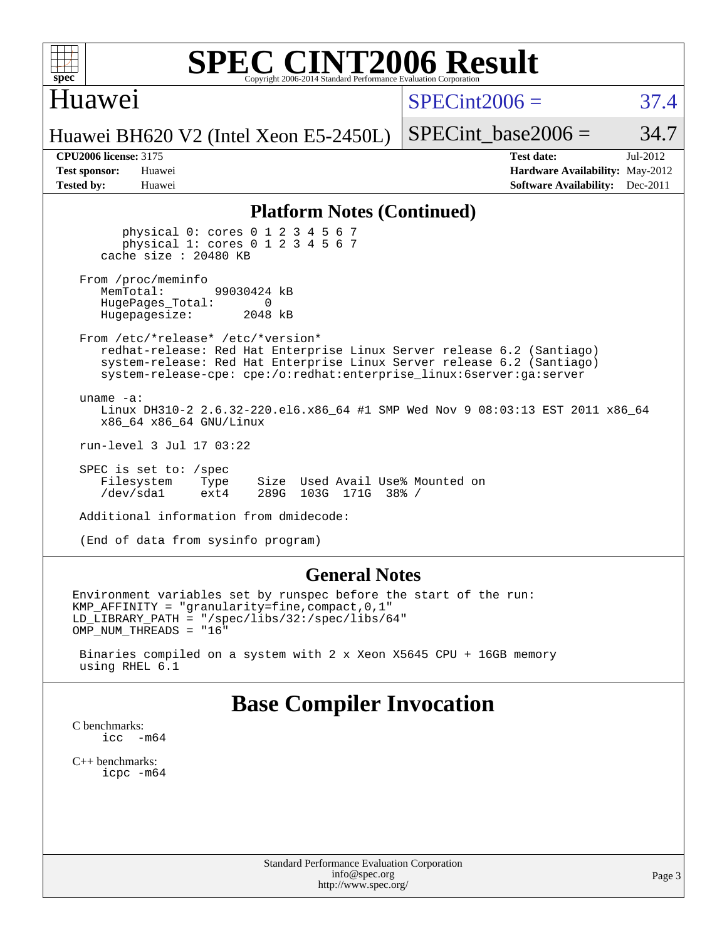

### Huawei

 $SPECint2006 = 37.4$  $SPECint2006 = 37.4$ 

Huawei BH620 V2 (Intel Xeon E5-2450L)

| <b>Test sponsor:</b> | Huawei |
|----------------------|--------|
| <b>Tested by:</b>    | Huawei |

**[CPU2006 license:](http://www.spec.org/auto/cpu2006/Docs/result-fields.html#CPU2006license)** 3175 **[Test date:](http://www.spec.org/auto/cpu2006/Docs/result-fields.html#Testdate)** Jul-2012 **[Hardware Availability:](http://www.spec.org/auto/cpu2006/Docs/result-fields.html#HardwareAvailability)** May-2012 **[Software Availability:](http://www.spec.org/auto/cpu2006/Docs/result-fields.html#SoftwareAvailability)** Dec-2011

SPECint base2006 =  $34.7$ 

### **[Platform Notes \(Continued\)](http://www.spec.org/auto/cpu2006/Docs/result-fields.html#PlatformNotes)**

 physical 0: cores 0 1 2 3 4 5 6 7 physical 1: cores 0 1 2 3 4 5 6 7 cache size : 20480 KB

From /proc/meminfo<br>MemTotal: 99030424 kB HugePages\_Total: 0<br>Hugepagesize: 2048 kB Hugepagesize:

 From /etc/\*release\* /etc/\*version\* redhat-release: Red Hat Enterprise Linux Server release 6.2 (Santiago) system-release: Red Hat Enterprise Linux Server release 6.2 (Santiago) system-release-cpe: cpe:/o:redhat:enterprise\_linux:6server:ga:server

 uname -a: Linux DH310-2 2.6.32-220.el6.x86\_64 #1 SMP Wed Nov 9 08:03:13 EST 2011 x86\_64 x86\_64 x86\_64 GNU/Linux

run-level 3 Jul 17 03:22

 SPEC is set to: /spec Filesystem Type Size Used Avail Use% Mounted on<br>
/dev/sda1 ext4 289G 103G 171G 38% / /dev/sda1 ext4 289G 103G 171G 38% /

Additional information from dmidecode:

(End of data from sysinfo program)

### **[General Notes](http://www.spec.org/auto/cpu2006/Docs/result-fields.html#GeneralNotes)**

Environment variables set by runspec before the start of the run: KMP\_AFFINITY = "granularity=fine,compact,0,1" LD\_LIBRARY\_PATH = "/spec/libs/32:/spec/libs/64" OMP\_NUM\_THREADS = "16"

 Binaries compiled on a system with 2 x Xeon X5645 CPU + 16GB memory using RHEL 6.1

### **[Base Compiler Invocation](http://www.spec.org/auto/cpu2006/Docs/result-fields.html#BaseCompilerInvocation)**

[C benchmarks](http://www.spec.org/auto/cpu2006/Docs/result-fields.html#Cbenchmarks): icc  $-m64$ 

[C++ benchmarks:](http://www.spec.org/auto/cpu2006/Docs/result-fields.html#CXXbenchmarks) [icpc -m64](http://www.spec.org/cpu2006/results/res2012q3/cpu2006-20120723-23805.flags.html#user_CXXbase_intel_icpc_64bit_fc66a5337ce925472a5c54ad6a0de310)

> Standard Performance Evaluation Corporation [info@spec.org](mailto:info@spec.org) <http://www.spec.org/>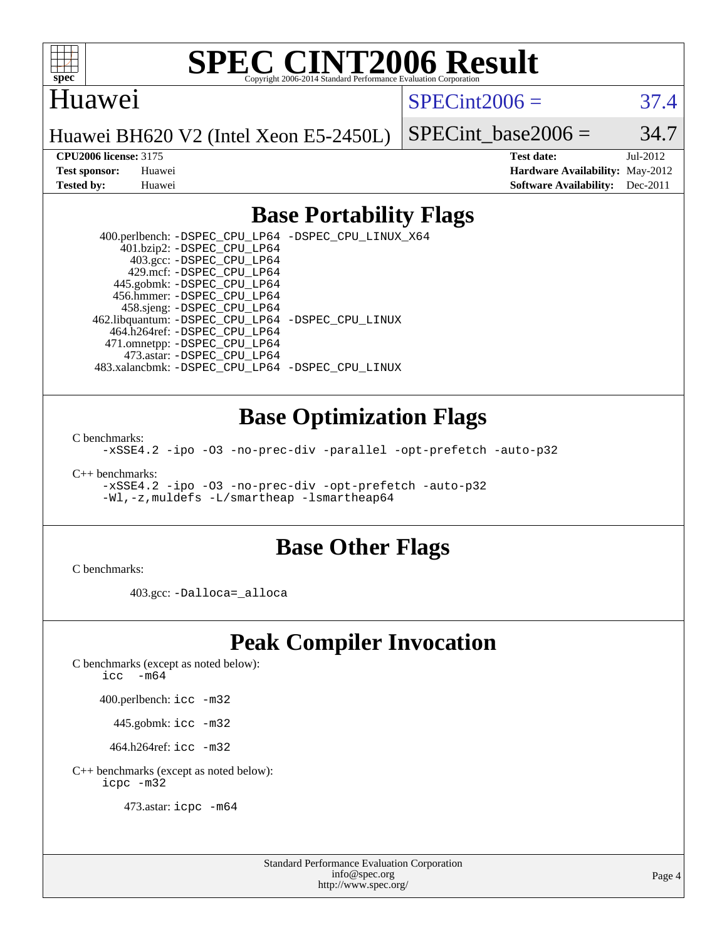

### Huawei

 $SPECint2006 = 37.4$  $SPECint2006 = 37.4$ 

Huawei BH620 V2 (Intel Xeon E5-2450L)

SPECint base2006 =  $34.7$ 

**[CPU2006 license:](http://www.spec.org/auto/cpu2006/Docs/result-fields.html#CPU2006license)** 3175 **[Test date:](http://www.spec.org/auto/cpu2006/Docs/result-fields.html#Testdate)** Jul-2012 **[Test sponsor:](http://www.spec.org/auto/cpu2006/Docs/result-fields.html#Testsponsor)** Huawei **[Hardware Availability:](http://www.spec.org/auto/cpu2006/Docs/result-fields.html#HardwareAvailability)** May-2012 **[Tested by:](http://www.spec.org/auto/cpu2006/Docs/result-fields.html#Testedby)** Huawei **[Software Availability:](http://www.spec.org/auto/cpu2006/Docs/result-fields.html#SoftwareAvailability)** Dec-2011

### **[Base Portability Flags](http://www.spec.org/auto/cpu2006/Docs/result-fields.html#BasePortabilityFlags)**

 400.perlbench: [-DSPEC\\_CPU\\_LP64](http://www.spec.org/cpu2006/results/res2012q3/cpu2006-20120723-23805.flags.html#b400.perlbench_basePORTABILITY_DSPEC_CPU_LP64) [-DSPEC\\_CPU\\_LINUX\\_X64](http://www.spec.org/cpu2006/results/res2012q3/cpu2006-20120723-23805.flags.html#b400.perlbench_baseCPORTABILITY_DSPEC_CPU_LINUX_X64) 401.bzip2: [-DSPEC\\_CPU\\_LP64](http://www.spec.org/cpu2006/results/res2012q3/cpu2006-20120723-23805.flags.html#suite_basePORTABILITY401_bzip2_DSPEC_CPU_LP64) 403.gcc: [-DSPEC\\_CPU\\_LP64](http://www.spec.org/cpu2006/results/res2012q3/cpu2006-20120723-23805.flags.html#suite_basePORTABILITY403_gcc_DSPEC_CPU_LP64) 429.mcf: [-DSPEC\\_CPU\\_LP64](http://www.spec.org/cpu2006/results/res2012q3/cpu2006-20120723-23805.flags.html#suite_basePORTABILITY429_mcf_DSPEC_CPU_LP64) 445.gobmk: [-DSPEC\\_CPU\\_LP64](http://www.spec.org/cpu2006/results/res2012q3/cpu2006-20120723-23805.flags.html#suite_basePORTABILITY445_gobmk_DSPEC_CPU_LP64) 456.hmmer: [-DSPEC\\_CPU\\_LP64](http://www.spec.org/cpu2006/results/res2012q3/cpu2006-20120723-23805.flags.html#suite_basePORTABILITY456_hmmer_DSPEC_CPU_LP64) 458.sjeng: [-DSPEC\\_CPU\\_LP64](http://www.spec.org/cpu2006/results/res2012q3/cpu2006-20120723-23805.flags.html#suite_basePORTABILITY458_sjeng_DSPEC_CPU_LP64) 462.libquantum: [-DSPEC\\_CPU\\_LP64](http://www.spec.org/cpu2006/results/res2012q3/cpu2006-20120723-23805.flags.html#suite_basePORTABILITY462_libquantum_DSPEC_CPU_LP64) [-DSPEC\\_CPU\\_LINUX](http://www.spec.org/cpu2006/results/res2012q3/cpu2006-20120723-23805.flags.html#b462.libquantum_baseCPORTABILITY_DSPEC_CPU_LINUX) 464.h264ref: [-DSPEC\\_CPU\\_LP64](http://www.spec.org/cpu2006/results/res2012q3/cpu2006-20120723-23805.flags.html#suite_basePORTABILITY464_h264ref_DSPEC_CPU_LP64) 471.omnetpp: [-DSPEC\\_CPU\\_LP64](http://www.spec.org/cpu2006/results/res2012q3/cpu2006-20120723-23805.flags.html#suite_basePORTABILITY471_omnetpp_DSPEC_CPU_LP64) 473.astar: [-DSPEC\\_CPU\\_LP64](http://www.spec.org/cpu2006/results/res2012q3/cpu2006-20120723-23805.flags.html#suite_basePORTABILITY473_astar_DSPEC_CPU_LP64) 483.xalancbmk: [-DSPEC\\_CPU\\_LP64](http://www.spec.org/cpu2006/results/res2012q3/cpu2006-20120723-23805.flags.html#suite_basePORTABILITY483_xalancbmk_DSPEC_CPU_LP64) [-DSPEC\\_CPU\\_LINUX](http://www.spec.org/cpu2006/results/res2012q3/cpu2006-20120723-23805.flags.html#b483.xalancbmk_baseCXXPORTABILITY_DSPEC_CPU_LINUX)

### **[Base Optimization Flags](http://www.spec.org/auto/cpu2006/Docs/result-fields.html#BaseOptimizationFlags)**

[C benchmarks](http://www.spec.org/auto/cpu2006/Docs/result-fields.html#Cbenchmarks):

[-xSSE4.2](http://www.spec.org/cpu2006/results/res2012q3/cpu2006-20120723-23805.flags.html#user_CCbase_f-xSSE42_f91528193cf0b216347adb8b939d4107) [-ipo](http://www.spec.org/cpu2006/results/res2012q3/cpu2006-20120723-23805.flags.html#user_CCbase_f-ipo) [-O3](http://www.spec.org/cpu2006/results/res2012q3/cpu2006-20120723-23805.flags.html#user_CCbase_f-O3) [-no-prec-div](http://www.spec.org/cpu2006/results/res2012q3/cpu2006-20120723-23805.flags.html#user_CCbase_f-no-prec-div) [-parallel](http://www.spec.org/cpu2006/results/res2012q3/cpu2006-20120723-23805.flags.html#user_CCbase_f-parallel) [-opt-prefetch](http://www.spec.org/cpu2006/results/res2012q3/cpu2006-20120723-23805.flags.html#user_CCbase_f-opt-prefetch) [-auto-p32](http://www.spec.org/cpu2006/results/res2012q3/cpu2006-20120723-23805.flags.html#user_CCbase_f-auto-p32)

[C++ benchmarks:](http://www.spec.org/auto/cpu2006/Docs/result-fields.html#CXXbenchmarks)

[-xSSE4.2](http://www.spec.org/cpu2006/results/res2012q3/cpu2006-20120723-23805.flags.html#user_CXXbase_f-xSSE42_f91528193cf0b216347adb8b939d4107) [-ipo](http://www.spec.org/cpu2006/results/res2012q3/cpu2006-20120723-23805.flags.html#user_CXXbase_f-ipo) [-O3](http://www.spec.org/cpu2006/results/res2012q3/cpu2006-20120723-23805.flags.html#user_CXXbase_f-O3) [-no-prec-div](http://www.spec.org/cpu2006/results/res2012q3/cpu2006-20120723-23805.flags.html#user_CXXbase_f-no-prec-div) [-opt-prefetch](http://www.spec.org/cpu2006/results/res2012q3/cpu2006-20120723-23805.flags.html#user_CXXbase_f-opt-prefetch) [-auto-p32](http://www.spec.org/cpu2006/results/res2012q3/cpu2006-20120723-23805.flags.html#user_CXXbase_f-auto-p32) [-Wl,-z,muldefs](http://www.spec.org/cpu2006/results/res2012q3/cpu2006-20120723-23805.flags.html#user_CXXbase_link_force_multiple1_74079c344b956b9658436fd1b6dd3a8a) [-L/smartheap -lsmartheap64](http://www.spec.org/cpu2006/results/res2012q3/cpu2006-20120723-23805.flags.html#user_CXXbase_SmartHeap64_5e654037dadeae1fe403ab4b4466e60b)

### **[Base Other Flags](http://www.spec.org/auto/cpu2006/Docs/result-fields.html#BaseOtherFlags)**

[C benchmarks](http://www.spec.org/auto/cpu2006/Docs/result-fields.html#Cbenchmarks):

403.gcc: [-Dalloca=\\_alloca](http://www.spec.org/cpu2006/results/res2012q3/cpu2006-20120723-23805.flags.html#b403.gcc_baseEXTRA_CFLAGS_Dalloca_be3056838c12de2578596ca5467af7f3)

## **[Peak Compiler Invocation](http://www.spec.org/auto/cpu2006/Docs/result-fields.html#PeakCompilerInvocation)**

[C benchmarks \(except as noted below\)](http://www.spec.org/auto/cpu2006/Docs/result-fields.html#Cbenchmarksexceptasnotedbelow):

icc  $-m64$ 

400.perlbench: [icc -m32](http://www.spec.org/cpu2006/results/res2012q3/cpu2006-20120723-23805.flags.html#user_peakCCLD400_perlbench_intel_icc_a6a621f8d50482236b970c6ac5f55f93)

445.gobmk: [icc -m32](http://www.spec.org/cpu2006/results/res2012q3/cpu2006-20120723-23805.flags.html#user_peakCCLD445_gobmk_intel_icc_a6a621f8d50482236b970c6ac5f55f93)

464.h264ref: [icc -m32](http://www.spec.org/cpu2006/results/res2012q3/cpu2006-20120723-23805.flags.html#user_peakCCLD464_h264ref_intel_icc_a6a621f8d50482236b970c6ac5f55f93)

[C++ benchmarks \(except as noted below\):](http://www.spec.org/auto/cpu2006/Docs/result-fields.html#CXXbenchmarksexceptasnotedbelow) [icpc -m32](http://www.spec.org/cpu2006/results/res2012q3/cpu2006-20120723-23805.flags.html#user_CXXpeak_intel_icpc_4e5a5ef1a53fd332b3c49e69c3330699)

473.astar: [icpc -m64](http://www.spec.org/cpu2006/results/res2012q3/cpu2006-20120723-23805.flags.html#user_peakCXXLD473_astar_intel_icpc_64bit_fc66a5337ce925472a5c54ad6a0de310)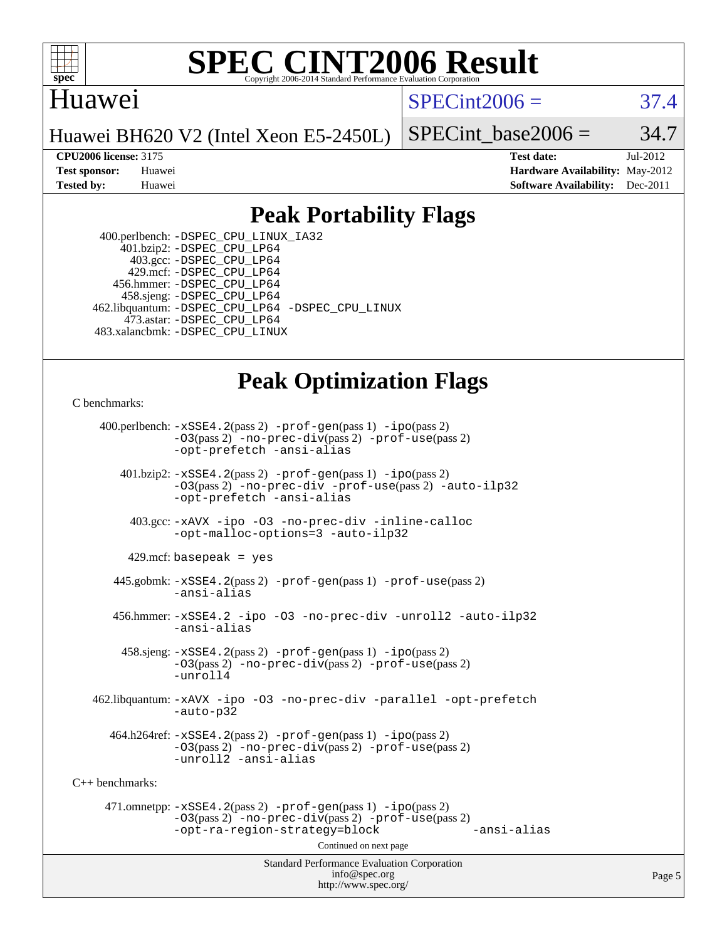

### Huawei

 $SPECint2006 = 37.4$  $SPECint2006 = 37.4$ 

Huawei BH620 V2 (Intel Xeon E5-2450L)

SPECint base2006 =  $34.7$ 

**[CPU2006 license:](http://www.spec.org/auto/cpu2006/Docs/result-fields.html#CPU2006license)** 3175 **[Test date:](http://www.spec.org/auto/cpu2006/Docs/result-fields.html#Testdate)** Jul-2012 **[Test sponsor:](http://www.spec.org/auto/cpu2006/Docs/result-fields.html#Testsponsor)** Huawei **[Hardware Availability:](http://www.spec.org/auto/cpu2006/Docs/result-fields.html#HardwareAvailability)** May-2012 **[Tested by:](http://www.spec.org/auto/cpu2006/Docs/result-fields.html#Testedby)** Huawei **[Software Availability:](http://www.spec.org/auto/cpu2006/Docs/result-fields.html#SoftwareAvailability)** Dec-2011

## **[Peak Portability Flags](http://www.spec.org/auto/cpu2006/Docs/result-fields.html#PeakPortabilityFlags)**

 400.perlbench: [-DSPEC\\_CPU\\_LINUX\\_IA32](http://www.spec.org/cpu2006/results/res2012q3/cpu2006-20120723-23805.flags.html#b400.perlbench_peakCPORTABILITY_DSPEC_CPU_LINUX_IA32) 401.bzip2: [-DSPEC\\_CPU\\_LP64](http://www.spec.org/cpu2006/results/res2012q3/cpu2006-20120723-23805.flags.html#suite_peakPORTABILITY401_bzip2_DSPEC_CPU_LP64) 403.gcc: [-DSPEC\\_CPU\\_LP64](http://www.spec.org/cpu2006/results/res2012q3/cpu2006-20120723-23805.flags.html#suite_peakPORTABILITY403_gcc_DSPEC_CPU_LP64) 429.mcf: [-DSPEC\\_CPU\\_LP64](http://www.spec.org/cpu2006/results/res2012q3/cpu2006-20120723-23805.flags.html#suite_peakPORTABILITY429_mcf_DSPEC_CPU_LP64) 456.hmmer: [-DSPEC\\_CPU\\_LP64](http://www.spec.org/cpu2006/results/res2012q3/cpu2006-20120723-23805.flags.html#suite_peakPORTABILITY456_hmmer_DSPEC_CPU_LP64) 458.sjeng: [-DSPEC\\_CPU\\_LP64](http://www.spec.org/cpu2006/results/res2012q3/cpu2006-20120723-23805.flags.html#suite_peakPORTABILITY458_sjeng_DSPEC_CPU_LP64) 462.libquantum: [-DSPEC\\_CPU\\_LP64](http://www.spec.org/cpu2006/results/res2012q3/cpu2006-20120723-23805.flags.html#suite_peakPORTABILITY462_libquantum_DSPEC_CPU_LP64) [-DSPEC\\_CPU\\_LINUX](http://www.spec.org/cpu2006/results/res2012q3/cpu2006-20120723-23805.flags.html#b462.libquantum_peakCPORTABILITY_DSPEC_CPU_LINUX) 473.astar: [-DSPEC\\_CPU\\_LP64](http://www.spec.org/cpu2006/results/res2012q3/cpu2006-20120723-23805.flags.html#suite_peakPORTABILITY473_astar_DSPEC_CPU_LP64) 483.xalancbmk: [-DSPEC\\_CPU\\_LINUX](http://www.spec.org/cpu2006/results/res2012q3/cpu2006-20120723-23805.flags.html#b483.xalancbmk_peakCXXPORTABILITY_DSPEC_CPU_LINUX)

## **[Peak Optimization Flags](http://www.spec.org/auto/cpu2006/Docs/result-fields.html#PeakOptimizationFlags)**

[C benchmarks](http://www.spec.org/auto/cpu2006/Docs/result-fields.html#Cbenchmarks):

Standard Performance Evaluation Corporation [info@spec.org](mailto:info@spec.org) 400.perlbench: [-xSSE4.2](http://www.spec.org/cpu2006/results/res2012q3/cpu2006-20120723-23805.flags.html#user_peakPASS2_CFLAGSPASS2_LDCFLAGS400_perlbench_f-xSSE42_f91528193cf0b216347adb8b939d4107)(pass 2) [-prof-gen](http://www.spec.org/cpu2006/results/res2012q3/cpu2006-20120723-23805.flags.html#user_peakPASS1_CFLAGSPASS1_LDCFLAGS400_perlbench_prof_gen_e43856698f6ca7b7e442dfd80e94a8fc)(pass 1) [-ipo](http://www.spec.org/cpu2006/results/res2012q3/cpu2006-20120723-23805.flags.html#user_peakPASS2_CFLAGSPASS2_LDCFLAGS400_perlbench_f-ipo)(pass 2) [-O3](http://www.spec.org/cpu2006/results/res2012q3/cpu2006-20120723-23805.flags.html#user_peakPASS2_CFLAGSPASS2_LDCFLAGS400_perlbench_f-O3)(pass 2) [-no-prec-div](http://www.spec.org/cpu2006/results/res2012q3/cpu2006-20120723-23805.flags.html#user_peakPASS2_CFLAGSPASS2_LDCFLAGS400_perlbench_f-no-prec-div)(pass 2) [-prof-use](http://www.spec.org/cpu2006/results/res2012q3/cpu2006-20120723-23805.flags.html#user_peakPASS2_CFLAGSPASS2_LDCFLAGS400_perlbench_prof_use_bccf7792157ff70d64e32fe3e1250b55)(pass 2) [-opt-prefetch](http://www.spec.org/cpu2006/results/res2012q3/cpu2006-20120723-23805.flags.html#user_peakCOPTIMIZE400_perlbench_f-opt-prefetch) [-ansi-alias](http://www.spec.org/cpu2006/results/res2012q3/cpu2006-20120723-23805.flags.html#user_peakCOPTIMIZE400_perlbench_f-ansi-alias) 401.bzip2: [-xSSE4.2](http://www.spec.org/cpu2006/results/res2012q3/cpu2006-20120723-23805.flags.html#user_peakPASS2_CFLAGSPASS2_LDCFLAGS401_bzip2_f-xSSE42_f91528193cf0b216347adb8b939d4107)(pass 2) [-prof-gen](http://www.spec.org/cpu2006/results/res2012q3/cpu2006-20120723-23805.flags.html#user_peakPASS1_CFLAGSPASS1_LDCFLAGS401_bzip2_prof_gen_e43856698f6ca7b7e442dfd80e94a8fc)(pass 1) [-ipo](http://www.spec.org/cpu2006/results/res2012q3/cpu2006-20120723-23805.flags.html#user_peakPASS2_CFLAGSPASS2_LDCFLAGS401_bzip2_f-ipo)(pass 2) [-O3](http://www.spec.org/cpu2006/results/res2012q3/cpu2006-20120723-23805.flags.html#user_peakPASS2_CFLAGSPASS2_LDCFLAGS401_bzip2_f-O3)(pass 2) [-no-prec-div](http://www.spec.org/cpu2006/results/res2012q3/cpu2006-20120723-23805.flags.html#user_peakCOPTIMIZEPASS2_CFLAGSPASS2_LDCFLAGS401_bzip2_f-no-prec-div) [-prof-use](http://www.spec.org/cpu2006/results/res2012q3/cpu2006-20120723-23805.flags.html#user_peakPASS2_CFLAGSPASS2_LDCFLAGS401_bzip2_prof_use_bccf7792157ff70d64e32fe3e1250b55)(pass 2) [-auto-ilp32](http://www.spec.org/cpu2006/results/res2012q3/cpu2006-20120723-23805.flags.html#user_peakCOPTIMIZE401_bzip2_f-auto-ilp32) [-opt-prefetch](http://www.spec.org/cpu2006/results/res2012q3/cpu2006-20120723-23805.flags.html#user_peakCOPTIMIZE401_bzip2_f-opt-prefetch) [-ansi-alias](http://www.spec.org/cpu2006/results/res2012q3/cpu2006-20120723-23805.flags.html#user_peakCOPTIMIZE401_bzip2_f-ansi-alias) 403.gcc: [-xAVX](http://www.spec.org/cpu2006/results/res2012q3/cpu2006-20120723-23805.flags.html#user_peakCOPTIMIZE403_gcc_f-xAVX) [-ipo](http://www.spec.org/cpu2006/results/res2012q3/cpu2006-20120723-23805.flags.html#user_peakCOPTIMIZE403_gcc_f-ipo) [-O3](http://www.spec.org/cpu2006/results/res2012q3/cpu2006-20120723-23805.flags.html#user_peakCOPTIMIZE403_gcc_f-O3) [-no-prec-div](http://www.spec.org/cpu2006/results/res2012q3/cpu2006-20120723-23805.flags.html#user_peakCOPTIMIZE403_gcc_f-no-prec-div) [-inline-calloc](http://www.spec.org/cpu2006/results/res2012q3/cpu2006-20120723-23805.flags.html#user_peakCOPTIMIZE403_gcc_f-inline-calloc) [-opt-malloc-options=3](http://www.spec.org/cpu2006/results/res2012q3/cpu2006-20120723-23805.flags.html#user_peakCOPTIMIZE403_gcc_f-opt-malloc-options_13ab9b803cf986b4ee62f0a5998c2238) [-auto-ilp32](http://www.spec.org/cpu2006/results/res2012q3/cpu2006-20120723-23805.flags.html#user_peakCOPTIMIZE403_gcc_f-auto-ilp32)  $429$ .mcf: basepeak = yes 445.gobmk: [-xSSE4.2](http://www.spec.org/cpu2006/results/res2012q3/cpu2006-20120723-23805.flags.html#user_peakPASS2_CFLAGSPASS2_LDCFLAGS445_gobmk_f-xSSE42_f91528193cf0b216347adb8b939d4107)(pass 2) [-prof-gen](http://www.spec.org/cpu2006/results/res2012q3/cpu2006-20120723-23805.flags.html#user_peakPASS1_CFLAGSPASS1_LDCFLAGS445_gobmk_prof_gen_e43856698f6ca7b7e442dfd80e94a8fc)(pass 1) [-prof-use](http://www.spec.org/cpu2006/results/res2012q3/cpu2006-20120723-23805.flags.html#user_peakPASS2_CFLAGSPASS2_LDCFLAGS445_gobmk_prof_use_bccf7792157ff70d64e32fe3e1250b55)(pass 2) [-ansi-alias](http://www.spec.org/cpu2006/results/res2012q3/cpu2006-20120723-23805.flags.html#user_peakCOPTIMIZE445_gobmk_f-ansi-alias) 456.hmmer: [-xSSE4.2](http://www.spec.org/cpu2006/results/res2012q3/cpu2006-20120723-23805.flags.html#user_peakCOPTIMIZE456_hmmer_f-xSSE42_f91528193cf0b216347adb8b939d4107) [-ipo](http://www.spec.org/cpu2006/results/res2012q3/cpu2006-20120723-23805.flags.html#user_peakCOPTIMIZE456_hmmer_f-ipo) [-O3](http://www.spec.org/cpu2006/results/res2012q3/cpu2006-20120723-23805.flags.html#user_peakCOPTIMIZE456_hmmer_f-O3) [-no-prec-div](http://www.spec.org/cpu2006/results/res2012q3/cpu2006-20120723-23805.flags.html#user_peakCOPTIMIZE456_hmmer_f-no-prec-div) [-unroll2](http://www.spec.org/cpu2006/results/res2012q3/cpu2006-20120723-23805.flags.html#user_peakCOPTIMIZE456_hmmer_f-unroll_784dae83bebfb236979b41d2422d7ec2) [-auto-ilp32](http://www.spec.org/cpu2006/results/res2012q3/cpu2006-20120723-23805.flags.html#user_peakCOPTIMIZE456_hmmer_f-auto-ilp32) [-ansi-alias](http://www.spec.org/cpu2006/results/res2012q3/cpu2006-20120723-23805.flags.html#user_peakCOPTIMIZE456_hmmer_f-ansi-alias) 458.sjeng: [-xSSE4.2](http://www.spec.org/cpu2006/results/res2012q3/cpu2006-20120723-23805.flags.html#user_peakPASS2_CFLAGSPASS2_LDCFLAGS458_sjeng_f-xSSE42_f91528193cf0b216347adb8b939d4107)(pass 2) [-prof-gen](http://www.spec.org/cpu2006/results/res2012q3/cpu2006-20120723-23805.flags.html#user_peakPASS1_CFLAGSPASS1_LDCFLAGS458_sjeng_prof_gen_e43856698f6ca7b7e442dfd80e94a8fc)(pass 1) [-ipo](http://www.spec.org/cpu2006/results/res2012q3/cpu2006-20120723-23805.flags.html#user_peakPASS2_CFLAGSPASS2_LDCFLAGS458_sjeng_f-ipo)(pass 2) [-O3](http://www.spec.org/cpu2006/results/res2012q3/cpu2006-20120723-23805.flags.html#user_peakPASS2_CFLAGSPASS2_LDCFLAGS458_sjeng_f-O3)(pass 2) [-no-prec-div](http://www.spec.org/cpu2006/results/res2012q3/cpu2006-20120723-23805.flags.html#user_peakPASS2_CFLAGSPASS2_LDCFLAGS458_sjeng_f-no-prec-div)(pass 2) [-prof-use](http://www.spec.org/cpu2006/results/res2012q3/cpu2006-20120723-23805.flags.html#user_peakPASS2_CFLAGSPASS2_LDCFLAGS458_sjeng_prof_use_bccf7792157ff70d64e32fe3e1250b55)(pass 2) [-unroll4](http://www.spec.org/cpu2006/results/res2012q3/cpu2006-20120723-23805.flags.html#user_peakCOPTIMIZE458_sjeng_f-unroll_4e5e4ed65b7fd20bdcd365bec371b81f) 462.libquantum: [-xAVX](http://www.spec.org/cpu2006/results/res2012q3/cpu2006-20120723-23805.flags.html#user_peakCOPTIMIZE462_libquantum_f-xAVX) [-ipo](http://www.spec.org/cpu2006/results/res2012q3/cpu2006-20120723-23805.flags.html#user_peakCOPTIMIZE462_libquantum_f-ipo) [-O3](http://www.spec.org/cpu2006/results/res2012q3/cpu2006-20120723-23805.flags.html#user_peakCOPTIMIZE462_libquantum_f-O3) [-no-prec-div](http://www.spec.org/cpu2006/results/res2012q3/cpu2006-20120723-23805.flags.html#user_peakCOPTIMIZE462_libquantum_f-no-prec-div) [-parallel](http://www.spec.org/cpu2006/results/res2012q3/cpu2006-20120723-23805.flags.html#user_peakCOPTIMIZE462_libquantum_f-parallel) [-opt-prefetch](http://www.spec.org/cpu2006/results/res2012q3/cpu2006-20120723-23805.flags.html#user_peakCOPTIMIZE462_libquantum_f-opt-prefetch) [-auto-p32](http://www.spec.org/cpu2006/results/res2012q3/cpu2006-20120723-23805.flags.html#user_peakCOPTIMIZE462_libquantum_f-auto-p32)  $464.h264$ ref:  $-xSSE4$ .  $2(pass 2)$  [-prof-gen](http://www.spec.org/cpu2006/results/res2012q3/cpu2006-20120723-23805.flags.html#user_peakPASS1_CFLAGSPASS1_LDCFLAGS464_h264ref_prof_gen_e43856698f6ca7b7e442dfd80e94a8fc)(pass 1) [-ipo](http://www.spec.org/cpu2006/results/res2012q3/cpu2006-20120723-23805.flags.html#user_peakPASS2_CFLAGSPASS2_LDCFLAGS464_h264ref_f-ipo)(pass 2) [-O3](http://www.spec.org/cpu2006/results/res2012q3/cpu2006-20120723-23805.flags.html#user_peakPASS2_CFLAGSPASS2_LDCFLAGS464_h264ref_f-O3)(pass 2) [-no-prec-div](http://www.spec.org/cpu2006/results/res2012q3/cpu2006-20120723-23805.flags.html#user_peakPASS2_CFLAGSPASS2_LDCFLAGS464_h264ref_f-no-prec-div)(pass 2) [-prof-use](http://www.spec.org/cpu2006/results/res2012q3/cpu2006-20120723-23805.flags.html#user_peakPASS2_CFLAGSPASS2_LDCFLAGS464_h264ref_prof_use_bccf7792157ff70d64e32fe3e1250b55)(pass 2) [-unroll2](http://www.spec.org/cpu2006/results/res2012q3/cpu2006-20120723-23805.flags.html#user_peakCOPTIMIZE464_h264ref_f-unroll_784dae83bebfb236979b41d2422d7ec2) [-ansi-alias](http://www.spec.org/cpu2006/results/res2012q3/cpu2006-20120723-23805.flags.html#user_peakCOPTIMIZE464_h264ref_f-ansi-alias) [C++ benchmarks:](http://www.spec.org/auto/cpu2006/Docs/result-fields.html#CXXbenchmarks) 471.omnetpp: [-xSSE4.2](http://www.spec.org/cpu2006/results/res2012q3/cpu2006-20120723-23805.flags.html#user_peakPASS2_CXXFLAGSPASS2_LDCXXFLAGS471_omnetpp_f-xSSE42_f91528193cf0b216347adb8b939d4107)(pass 2) [-prof-gen](http://www.spec.org/cpu2006/results/res2012q3/cpu2006-20120723-23805.flags.html#user_peakPASS1_CXXFLAGSPASS1_LDCXXFLAGS471_omnetpp_prof_gen_e43856698f6ca7b7e442dfd80e94a8fc)(pass 1) [-ipo](http://www.spec.org/cpu2006/results/res2012q3/cpu2006-20120723-23805.flags.html#user_peakPASS2_CXXFLAGSPASS2_LDCXXFLAGS471_omnetpp_f-ipo)(pass 2) [-O3](http://www.spec.org/cpu2006/results/res2012q3/cpu2006-20120723-23805.flags.html#user_peakPASS2_CXXFLAGSPASS2_LDCXXFLAGS471_omnetpp_f-O3)(pass 2) [-no-prec-div](http://www.spec.org/cpu2006/results/res2012q3/cpu2006-20120723-23805.flags.html#user_peakPASS2_CXXFLAGSPASS2_LDCXXFLAGS471_omnetpp_f-no-prec-div)(pass 2) [-prof-use](http://www.spec.org/cpu2006/results/res2012q3/cpu2006-20120723-23805.flags.html#user_peakPASS2_CXXFLAGSPASS2_LDCXXFLAGS471_omnetpp_prof_use_bccf7792157ff70d64e32fe3e1250b55)(pass 2) [-opt-ra-region-strategy=block](http://www.spec.org/cpu2006/results/res2012q3/cpu2006-20120723-23805.flags.html#user_peakCXXOPTIMIZE471_omnetpp_f-opt-ra-region-strategy_5382940c29ea30302d682fc74bfe0147) [-ansi-alias](http://www.spec.org/cpu2006/results/res2012q3/cpu2006-20120723-23805.flags.html#user_peakCXXOPTIMIZE471_omnetpp_f-ansi-alias) Continued on next page

<http://www.spec.org/>